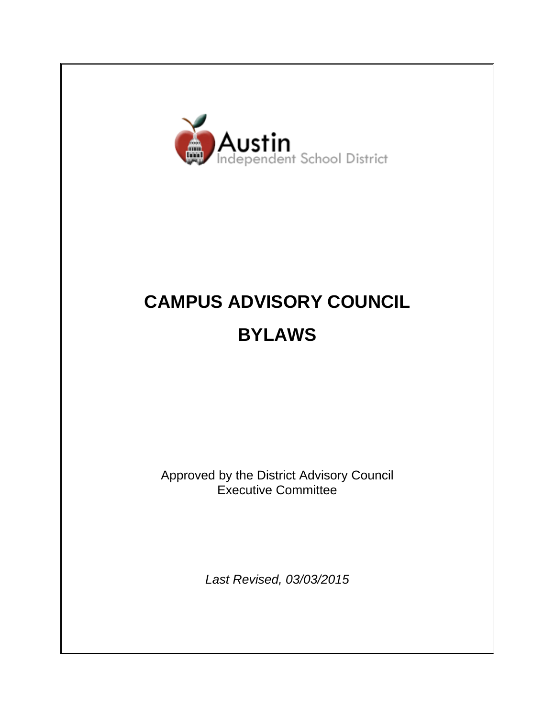

# **CAMPUS ADVISORY COUNCIL BYLAWS**

Approved by the District Advisory Council Executive Committee

*Last Revised, 03/03/2015*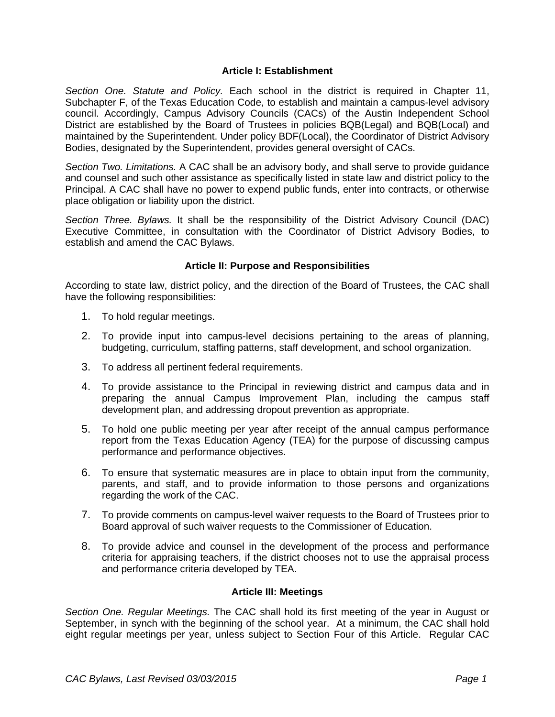#### **Article I: Establishment**

*Section One. Statute and Policy.* Each school in the district is required in Chapter 11, Subchapter F, of the Texas Education Code, to establish and maintain a campus-level advisory council. Accordingly, Campus Advisory Councils (CACs) of the Austin Independent School District are established by the Board of Trustees in policies BQB(Legal) and BQB(Local) and maintained by the Superintendent. Under policy BDF(Local), the Coordinator of District Advisory Bodies, designated by the Superintendent, provides general oversight of CACs.

*Section Two. Limitations.* A CAC shall be an advisory body, and shall serve to provide guidance and counsel and such other assistance as specifically listed in state law and district policy to the Principal. A CAC shall have no power to expend public funds, enter into contracts, or otherwise place obligation or liability upon the district.

*Section Three. Bylaws.* It shall be the responsibility of the District Advisory Council (DAC) Executive Committee, in consultation with the Coordinator of District Advisory Bodies, to establish and amend the CAC Bylaws.

## **Article II: Purpose and Responsibilities**

According to state law, district policy, and the direction of the Board of Trustees, the CAC shall have the following responsibilities:

- 1. To hold regular meetings.
- 2. To provide input into campus-level decisions pertaining to the areas of planning, budgeting, curriculum, staffing patterns, staff development, and school organization.
- 3. To address all pertinent federal requirements.
- 4. To provide assistance to the Principal in reviewing district and campus data and in preparing the annual Campus Improvement Plan, including the campus staff development plan, and addressing dropout prevention as appropriate.
- 5. To hold one public meeting per year after receipt of the annual campus performance report from the Texas Education Agency (TEA) for the purpose of discussing campus performance and performance objectives.
- 6. To ensure that systematic measures are in place to obtain input from the community, parents, and staff, and to provide information to those persons and organizations regarding the work of the CAC.
- 7. To provide comments on campus-level waiver requests to the Board of Trustees prior to Board approval of such waiver requests to the Commissioner of Education.
- 8. To provide advice and counsel in the development of the process and performance criteria for appraising teachers, if the district chooses not to use the appraisal process and performance criteria developed by TEA.

#### **Article III: Meetings**

*Section One. Regular Meetings.* The CAC shall hold its first meeting of the year in August or September, in synch with the beginning of the school year. At a minimum, the CAC shall hold eight regular meetings per year, unless subject to Section Four of this Article. Regular CAC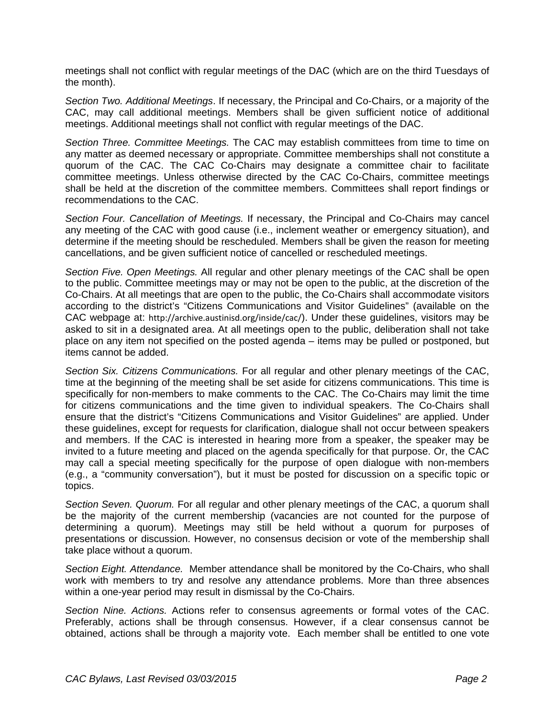meetings shall not conflict with regular meetings of the DAC (which are on the third Tuesdays of the month).

*Section Two. Additional Meetings*. If necessary, the Principal and Co-Chairs, or a majority of the CAC, may call additional meetings. Members shall be given sufficient notice of additional meetings. Additional meetings shall not conflict with regular meetings of the DAC.

*Section Three. Committee Meetings.* The CAC may establish committees from time to time on any matter as deemed necessary or appropriate. Committee memberships shall not constitute a quorum of the CAC. The CAC Co-Chairs may designate a committee chair to facilitate committee meetings. Unless otherwise directed by the CAC Co-Chairs, committee meetings shall be held at the discretion of the committee members. Committees shall report findings or recommendations to the CAC.

*Section Four. Cancellation of Meetings.* If necessary, the Principal and Co-Chairs may cancel any meeting of the CAC with good cause (i.e., inclement weather or emergency situation), and determine if the meeting should be rescheduled. Members shall be given the reason for meeting cancellations, and be given sufficient notice of cancelled or rescheduled meetings.

*Section Five. Open Meetings.* All regular and other plenary meetings of the CAC shall be open to the public. Committee meetings may or may not be open to the public, at the discretion of the Co-Chairs. At all meetings that are open to the public, the Co-Chairs shall accommodate visitors according to the district's "Citizens Communications and Visitor Guidelines" (available on the CAC webpage at: http://archive.austinisd.org/inside/cac/). Under these guidelines, visitors may be asked to sit in a designated area. At all meetings open to the public, deliberation shall not take place on any item not specified on the posted agenda – items may be pulled or postponed, but items cannot be added.

*Section Six. Citizens Communications.* For all regular and other plenary meetings of the CAC, time at the beginning of the meeting shall be set aside for citizens communications. This time is specifically for non-members to make comments to the CAC. The Co-Chairs may limit the time for citizens communications and the time given to individual speakers. The Co-Chairs shall ensure that the district's "Citizens Communications and Visitor Guidelines" are applied. Under these guidelines, except for requests for clarification, dialogue shall not occur between speakers and members. If the CAC is interested in hearing more from a speaker, the speaker may be invited to a future meeting and placed on the agenda specifically for that purpose. Or, the CAC may call a special meeting specifically for the purpose of open dialogue with non-members (e.g., a "community conversation"), but it must be posted for discussion on a specific topic or topics.

*Section Seven. Quorum.* For all regular and other plenary meetings of the CAC, a quorum shall be the majority of the current membership (vacancies are not counted for the purpose of determining a quorum). Meetings may still be held without a quorum for purposes of presentations or discussion. However, no consensus decision or vote of the membership shall take place without a quorum.

*Section Eight. Attendance.* Member attendance shall be monitored by the Co-Chairs, who shall work with members to try and resolve any attendance problems. More than three absences within a one-year period may result in dismissal by the Co-Chairs.

*Section Nine. Actions.* Actions refer to consensus agreements or formal votes of the CAC. Preferably, actions shall be through consensus. However, if a clear consensus cannot be obtained, actions shall be through a majority vote. Each member shall be entitled to one vote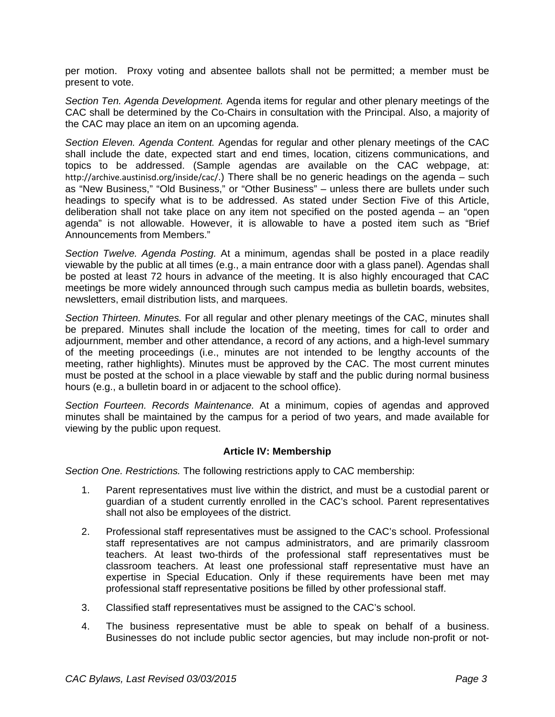per motion. Proxy voting and absentee ballots shall not be permitted; a member must be present to vote.

*Section Ten. Agenda Development.* Agenda items for regular and other plenary meetings of the CAC shall be determined by the Co-Chairs in consultation with the Principal. Also, a majority of the CAC may place an item on an upcoming agenda.

*Section Eleven. Agenda Content.* Agendas for regular and other plenary meetings of the CAC shall include the date, expected start and end times, location, citizens communications, and topics to be addressed. (Sample agendas are available on the CAC webpage, at: http://archive.austinisd.org/inside/cac/.) There shall be no generic headings on the agenda – such as "New Business," "Old Business," or "Other Business" – unless there are bullets under such headings to specify what is to be addressed. As stated under Section Five of this Article, deliberation shall not take place on any item not specified on the posted agenda – an "open agenda" is not allowable. However, it is allowable to have a posted item such as "Brief Announcements from Members."

*Section Twelve. Agenda Posting.* At a minimum, agendas shall be posted in a place readily viewable by the public at all times (e.g., a main entrance door with a glass panel). Agendas shall be posted at least 72 hours in advance of the meeting. It is also highly encouraged that CAC meetings be more widely announced through such campus media as bulletin boards, websites, newsletters, email distribution lists, and marquees.

*Section Thirteen. Minutes.* For all regular and other plenary meetings of the CAC, minutes shall be prepared. Minutes shall include the location of the meeting, times for call to order and adjournment, member and other attendance, a record of any actions, and a high-level summary of the meeting proceedings (i.e., minutes are not intended to be lengthy accounts of the meeting, rather highlights). Minutes must be approved by the CAC. The most current minutes must be posted at the school in a place viewable by staff and the public during normal business hours (e.g., a bulletin board in or adjacent to the school office).

*Section Fourteen. Records Maintenance.* At a minimum, copies of agendas and approved minutes shall be maintained by the campus for a period of two years, and made available for viewing by the public upon request.

## **Article IV: Membership**

*Section One. Restrictions.* The following restrictions apply to CAC membership:

- 1. Parent representatives must live within the district, and must be a custodial parent or guardian of a student currently enrolled in the CAC's school. Parent representatives shall not also be employees of the district.
- 2. Professional staff representatives must be assigned to the CAC's school. Professional staff representatives are not campus administrators, and are primarily classroom teachers. At least two-thirds of the professional staff representatives must be classroom teachers. At least one professional staff representative must have an expertise in Special Education. Only if these requirements have been met may professional staff representative positions be filled by other professional staff.
- 3. Classified staff representatives must be assigned to the CAC's school.
- 4. The business representative must be able to speak on behalf of a business. Businesses do not include public sector agencies, but may include non-profit or not-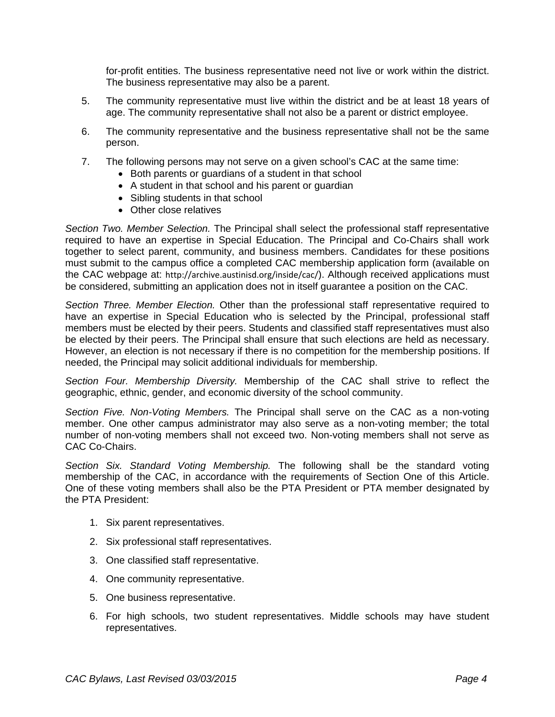for-profit entities. The business representative need not live or work within the district. The business representative may also be a parent.

- 5. The community representative must live within the district and be at least 18 years of age. The community representative shall not also be a parent or district employee.
- 6. The community representative and the business representative shall not be the same person.
- 7. The following persons may not serve on a given school's CAC at the same time:
	- Both parents or guardians of a student in that school
	- A student in that school and his parent or guardian
	- Sibling students in that school
	- Other close relatives

*Section Two. Member Selection.* The Principal shall select the professional staff representative required to have an expertise in Special Education. The Principal and Co-Chairs shall work together to select parent, community, and business members. Candidates for these positions must submit to the campus office a completed CAC membership application form (available on the CAC webpage at: http://archive.austinisd.org/inside/cac/). Although received applications must be considered, submitting an application does not in itself guarantee a position on the CAC.

*Section Three. Member Election.* Other than the professional staff representative required to have an expertise in Special Education who is selected by the Principal, professional staff members must be elected by their peers. Students and classified staff representatives must also be elected by their peers. The Principal shall ensure that such elections are held as necessary. However, an election is not necessary if there is no competition for the membership positions. If needed, the Principal may solicit additional individuals for membership.

*Section Four. Membership Diversity.* Membership of the CAC shall strive to reflect the geographic, ethnic, gender, and economic diversity of the school community.

*Section Five. Non-Voting Members.* The Principal shall serve on the CAC as a non-voting member. One other campus administrator may also serve as a non-voting member; the total number of non-voting members shall not exceed two. Non-voting members shall not serve as CAC Co-Chairs.

*Section Six. Standard Voting Membership.* The following shall be the standard voting membership of the CAC, in accordance with the requirements of Section One of this Article. One of these voting members shall also be the PTA President or PTA member designated by the PTA President:

- 1. Six parent representatives.
- 2. Six professional staff representatives.
- 3. One classified staff representative.
- 4. One community representative.
- 5. One business representative.
- 6. For high schools, two student representatives. Middle schools may have student representatives.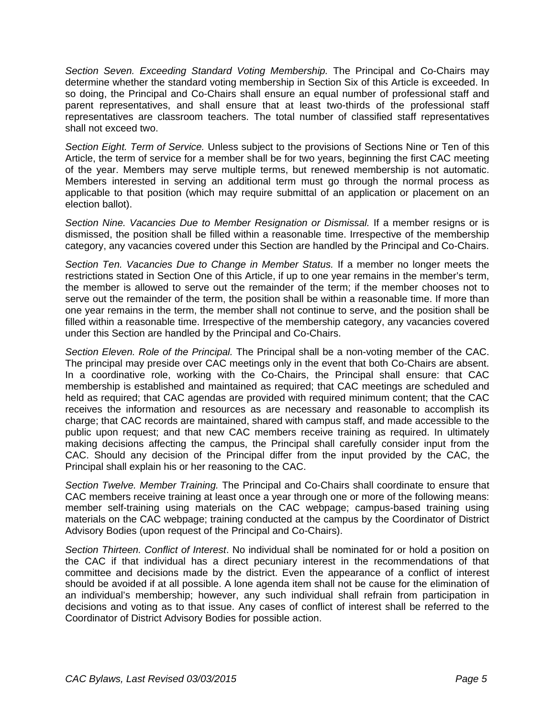*Section Seven. Exceeding Standard Voting Membership.* The Principal and Co-Chairs may determine whether the standard voting membership in Section Six of this Article is exceeded. In so doing, the Principal and Co-Chairs shall ensure an equal number of professional staff and parent representatives, and shall ensure that at least two-thirds of the professional staff representatives are classroom teachers. The total number of classified staff representatives shall not exceed two.

*Section Eight. Term of Service.* Unless subject to the provisions of Sections Nine or Ten of this Article, the term of service for a member shall be for two years, beginning the first CAC meeting of the year. Members may serve multiple terms, but renewed membership is not automatic. Members interested in serving an additional term must go through the normal process as applicable to that position (which may require submittal of an application or placement on an election ballot).

*Section Nine. Vacancies Due to Member Resignation or Dismissal.* If a member resigns or is dismissed, the position shall be filled within a reasonable time. Irrespective of the membership category, any vacancies covered under this Section are handled by the Principal and Co-Chairs.

*Section Ten. Vacancies Due to Change in Member Status.* If a member no longer meets the restrictions stated in Section One of this Article, if up to one year remains in the member's term, the member is allowed to serve out the remainder of the term; if the member chooses not to serve out the remainder of the term, the position shall be within a reasonable time. If more than one year remains in the term, the member shall not continue to serve, and the position shall be filled within a reasonable time. Irrespective of the membership category, any vacancies covered under this Section are handled by the Principal and Co-Chairs.

*Section Eleven. Role of the Principal.* The Principal shall be a non-voting member of the CAC. The principal may preside over CAC meetings only in the event that both Co-Chairs are absent. In a coordinative role, working with the Co-Chairs, the Principal shall ensure: that CAC membership is established and maintained as required; that CAC meetings are scheduled and held as required; that CAC agendas are provided with required minimum content; that the CAC receives the information and resources as are necessary and reasonable to accomplish its charge; that CAC records are maintained, shared with campus staff, and made accessible to the public upon request; and that new CAC members receive training as required. In ultimately making decisions affecting the campus, the Principal shall carefully consider input from the CAC. Should any decision of the Principal differ from the input provided by the CAC, the Principal shall explain his or her reasoning to the CAC.

*Section Twelve. Member Training.* The Principal and Co-Chairs shall coordinate to ensure that CAC members receive training at least once a year through one or more of the following means: member self-training using materials on the CAC webpage; campus-based training using materials on the CAC webpage; training conducted at the campus by the Coordinator of District Advisory Bodies (upon request of the Principal and Co-Chairs).

*Section Thirteen. Conflict of Interest*. No individual shall be nominated for or hold a position on the CAC if that individual has a direct pecuniary interest in the recommendations of that committee and decisions made by the district. Even the appearance of a conflict of interest should be avoided if at all possible. A lone agenda item shall not be cause for the elimination of an individual's membership; however, any such individual shall refrain from participation in decisions and voting as to that issue. Any cases of conflict of interest shall be referred to the Coordinator of District Advisory Bodies for possible action.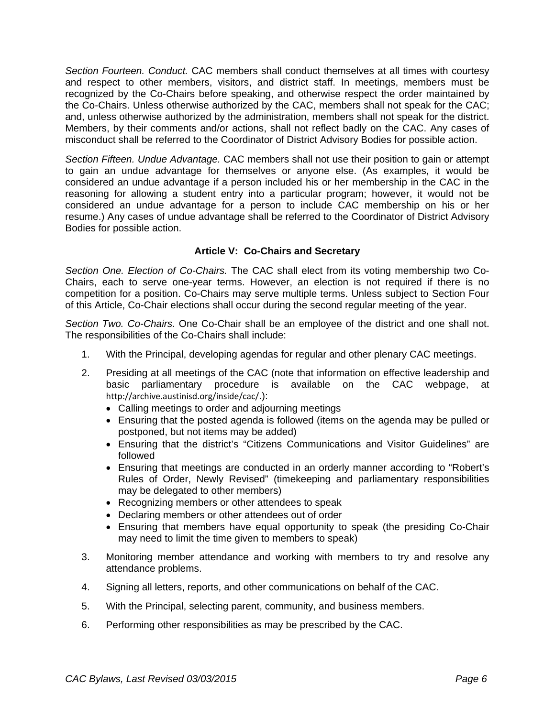*Section Fourteen. Conduct.* CAC members shall conduct themselves at all times with courtesy and respect to other members, visitors, and district staff. In meetings, members must be recognized by the Co-Chairs before speaking, and otherwise respect the order maintained by the Co-Chairs. Unless otherwise authorized by the CAC, members shall not speak for the CAC; and, unless otherwise authorized by the administration, members shall not speak for the district. Members, by their comments and/or actions, shall not reflect badly on the CAC. Any cases of misconduct shall be referred to the Coordinator of District Advisory Bodies for possible action.

*Section Fifteen. Undue Advantage.* CAC members shall not use their position to gain or attempt to gain an undue advantage for themselves or anyone else. (As examples, it would be considered an undue advantage if a person included his or her membership in the CAC in the reasoning for allowing a student entry into a particular program; however, it would not be considered an undue advantage for a person to include CAC membership on his or her resume.) Any cases of undue advantage shall be referred to the Coordinator of District Advisory Bodies for possible action.

## **Article V: Co-Chairs and Secretary**

*Section One. Election of Co-Chairs.* The CAC shall elect from its voting membership two Co-Chairs, each to serve one-year terms. However, an election is not required if there is no competition for a position. Co-Chairs may serve multiple terms. Unless subject to Section Four of this Article, Co-Chair elections shall occur during the second regular meeting of the year.

*Section Two. Co-Chairs.* One Co-Chair shall be an employee of the district and one shall not. The responsibilities of the Co-Chairs shall include:

- 1. With the Principal, developing agendas for regular and other plenary CAC meetings.
- 2. Presiding at all meetings of the CAC (note that information on effective leadership and basic parliamentary procedure is available on the CAC webpage, at http://archive.austinisd.org/inside/cac/.):
	- Calling meetings to order and adjourning meetings
	- Ensuring that the posted agenda is followed (items on the agenda may be pulled or postponed, but not items may be added)
	- Ensuring that the district's "Citizens Communications and Visitor Guidelines" are followed
	- Ensuring that meetings are conducted in an orderly manner according to "Robert's Rules of Order, Newly Revised" (timekeeping and parliamentary responsibilities may be delegated to other members)
	- Recognizing members or other attendees to speak
	- Declaring members or other attendees out of order
	- Ensuring that members have equal opportunity to speak (the presiding Co-Chair may need to limit the time given to members to speak)
- 3. Monitoring member attendance and working with members to try and resolve any attendance problems.
- 4. Signing all letters, reports, and other communications on behalf of the CAC.
- 5. With the Principal, selecting parent, community, and business members.
- 6. Performing other responsibilities as may be prescribed by the CAC.